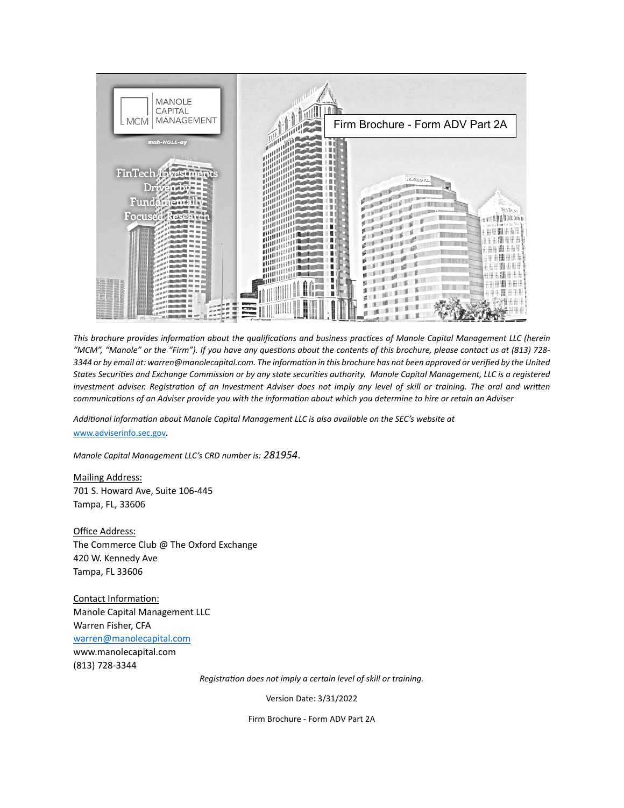

*This brochure provides information about the qualifications and business practices of Manole Capital Management LLC (herein "MCM", "Manole" or the "Firm"). If you have any questions about the contents of this brochure, please contact us at (813) 728- 3344 or by email at: warren@manolecapital.com. The information in this brochure has not been approved or verified by the United States Securities and Exchange Commission or by any state securities authority. Manole Capital Management, LLC is a registered investment adviser. Registration of an Investment Adviser does not imply any level of skill or training. The oral and written communications of an Adviser provide you with the information about which you determine to hire or retain an Adviser*

*Additional information about Manole Capital Management LLC is also available on the SEC's website at* [www.adviserinfo.sec.gov](http://www.adviserinfo.sec.gov/)*.* 

*Manole Capital Management LLC's CRD number is: 281954*.

Mailing Address: 701 S. Howard Ave, Suite 106-445 Tampa, FL, 33606

Office Address: The Commerce Club @ The Oxford Exchange 420 W. Kennedy Ave Tampa, FL 33606

Contact Information: Manole Capital Management LLC Warren Fisher, CFA [warren@manolecapital.com](mailto:warren@manolecapital.com) www.manolecapital.com (813) 728-3344

*Registration does not imply a certain level of skill or training.*

Version Date: 3/31/2022

Firm Brochure - Form ADV Part 2A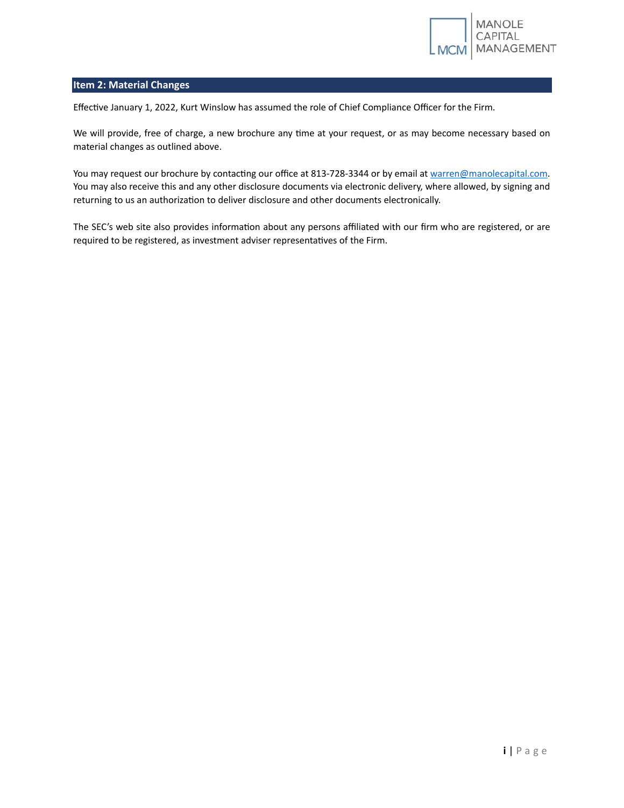

# **Item 2: Material Changes**

Effective January 1, 2022, Kurt Winslow has assumed the role of Chief Compliance Officer for the Firm.

We will provide, free of charge, a new brochure any time at your request, or as may become necessary based on material changes as outlined above.

You may request our brochure by contacting our office at 813-728-3344 or by email at warren@manolecapital.com. You may also receive this and any other disclosure documents via electronic delivery, where allowed, by signing and returning to us an authorization to deliver disclosure and other documents electronically.

The SEC's web site also provides information about any persons affiliated with our firm who are registered, or are required to be registered, as investment adviser representatives of the Firm.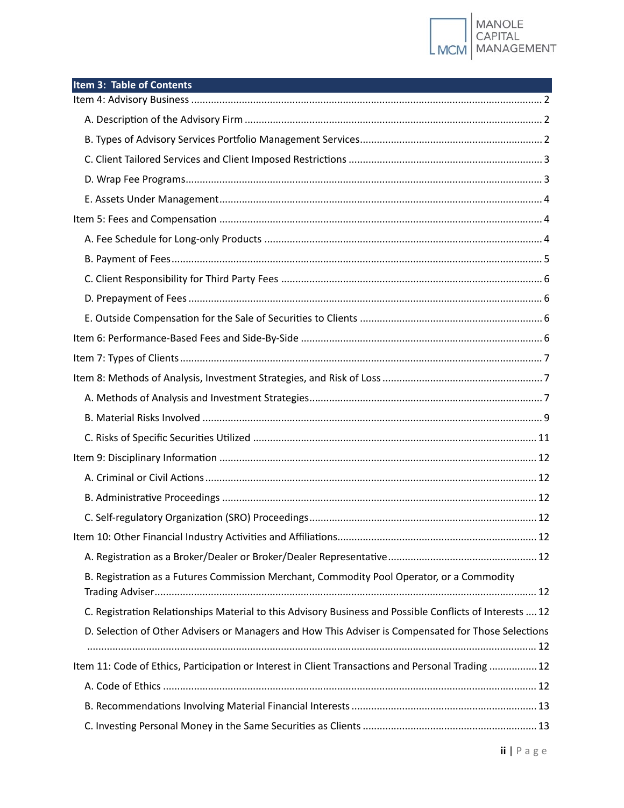

| Item 3: Table of Contents                                                                                |  |
|----------------------------------------------------------------------------------------------------------|--|
|                                                                                                          |  |
|                                                                                                          |  |
|                                                                                                          |  |
|                                                                                                          |  |
|                                                                                                          |  |
|                                                                                                          |  |
|                                                                                                          |  |
|                                                                                                          |  |
|                                                                                                          |  |
|                                                                                                          |  |
|                                                                                                          |  |
|                                                                                                          |  |
|                                                                                                          |  |
|                                                                                                          |  |
|                                                                                                          |  |
|                                                                                                          |  |
|                                                                                                          |  |
|                                                                                                          |  |
|                                                                                                          |  |
|                                                                                                          |  |
|                                                                                                          |  |
|                                                                                                          |  |
|                                                                                                          |  |
|                                                                                                          |  |
| B. Registration as a Futures Commission Merchant, Commodity Pool Operator, or a Commodity                |  |
| C. Registration Relationships Material to this Advisory Business and Possible Conflicts of Interests  12 |  |
| D. Selection of Other Advisers or Managers and How This Adviser is Compensated for Those Selections      |  |
| Item 11: Code of Ethics, Participation or Interest in Client Transactions and Personal Trading  12       |  |
|                                                                                                          |  |
|                                                                                                          |  |
|                                                                                                          |  |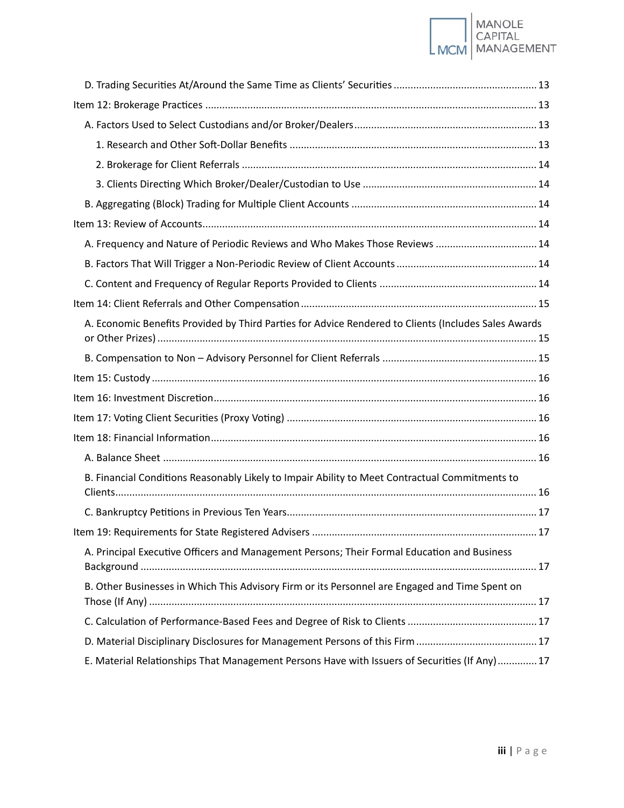# |<br>| MANOLE<br>| CAPITAL<br>| MANAGEMENT **LMCM**

| A. Frequency and Nature of Periodic Reviews and Who Makes Those Reviews  14                          |  |
|------------------------------------------------------------------------------------------------------|--|
|                                                                                                      |  |
|                                                                                                      |  |
|                                                                                                      |  |
| A. Economic Benefits Provided by Third Parties for Advice Rendered to Clients (Includes Sales Awards |  |
|                                                                                                      |  |
|                                                                                                      |  |
|                                                                                                      |  |
|                                                                                                      |  |
|                                                                                                      |  |
|                                                                                                      |  |
|                                                                                                      |  |
| B. Financial Conditions Reasonably Likely to Impair Ability to Meet Contractual Commitments to       |  |
|                                                                                                      |  |
|                                                                                                      |  |
| A. Principal Executive Officers and Management Persons; Their Formal Education and Business          |  |
| B. Other Businesses in Which This Advisory Firm or its Personnel are Engaged and Time Spent on       |  |
|                                                                                                      |  |
|                                                                                                      |  |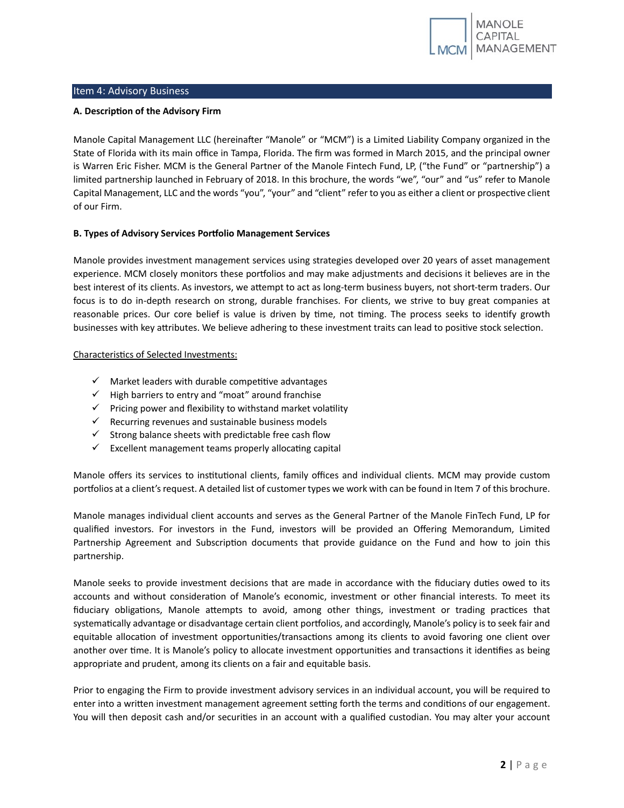

# <span id="page-4-0"></span>Item 4: Advisory Business

# <span id="page-4-1"></span>**A. Description of the Advisory Firm**

Manole Capital Management LLC (hereinafter "Manole" or "MCM") is a Limited Liability Company organized in the State of Florida with its main office in Tampa, Florida. The firm was formed in March 2015, and the principal owner is Warren Eric Fisher. MCM is the General Partner of the Manole Fintech Fund, LP, ("the Fund" or "partnership") a limited partnership launched in February of 2018. In this brochure, the words "we", "our" and "us" refer to Manole Capital Management, LLC and the words "you", "your" and "client" refer to you as either a client or prospective client of our Firm.

# <span id="page-4-2"></span>**B. Types of Advisory Services Por�olio Management Services**

Manole provides investment management services using strategies developed over 20 years of asset management experience. MCM closely monitors these portfolios and may make adjustments and decisions it believes are in the best interest of its clients. As investors, we atempt to act as long-term business buyers, not short-term traders. Our focus is to do in-depth research on strong, durable franchises. For clients, we strive to buy great companies at reasonable prices. Our core belief is value is driven by time, not timing. The process seeks to identify growth businesses with key attributes. We believe adhering to these investment traits can lead to positive stock selection.

# Characteristics of Selected Investments:

- $\checkmark$  Market leaders with durable competitive advantages
- $\checkmark$  High barriers to entry and "moat" around franchise
- $\checkmark$  Pricing power and flexibility to withstand market volatility
- $\checkmark$  Recurring revenues and sustainable business models
- $\checkmark$  Strong balance sheets with predictable free cash flow
- $\checkmark$  Excellent management teams properly allocating capital

Manole offers its services to institutional clients, family offices and individual clients. MCM may provide custom portfolios at a client's request. A detailed list of customer types we work with can be found in Item 7 of this brochure.

Manole manages individual client accounts and serves as the General Partner of the Manole FinTech Fund, LP for qualified investors. For investors in the Fund, investors will be provided an Offering Memorandum, Limited Partnership Agreement and Subscription documents that provide guidance on the Fund and how to join this partnership.

Manole seeks to provide investment decisions that are made in accordance with the fiduciary duties owed to its accounts and without consideration of Manole's economic, investment or other financial interests. To meet its fiduciary obligations, Manole attempts to avoid, among other things, investment or trading practices that systematically advantage or disadvantage certain client portfolios, and accordingly, Manole's policy is to seek fair and equitable allocation of investment opportunities/transactions among its clients to avoid favoring one client over another over time. It is Manole's policy to allocate investment opportunities and transactions it identifies as being appropriate and prudent, among its clients on a fair and equitable basis.

Prior to engaging the Firm to provide investment advisory services in an individual account, you will be required to enter into a written investment management agreement setting forth the terms and conditions of our engagement. You will then deposit cash and/or securities in an account with a qualified custodian. You may alter your account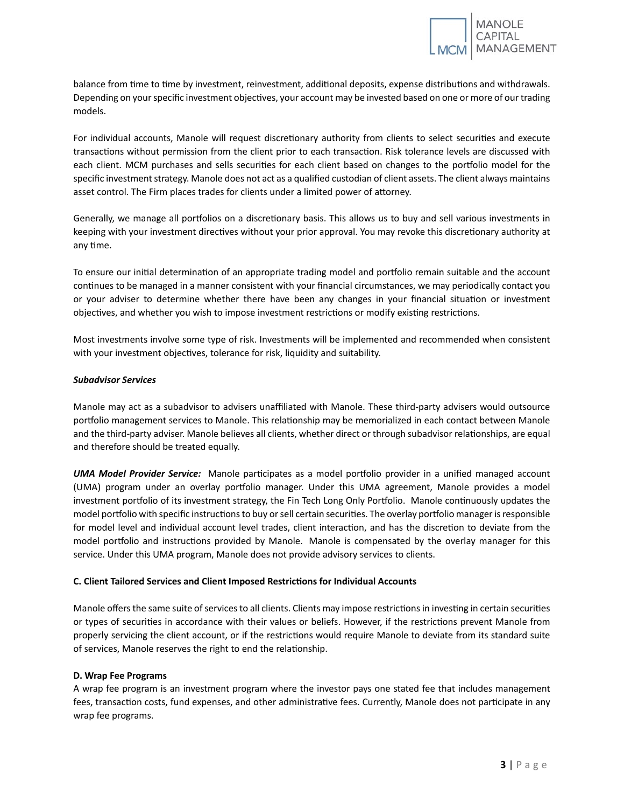balance from time to time by investment, reinvestment, additional deposits, expense distributions and withdrawals. Depending on your specific investment objectives, your account may be invested based on one or more of our trading models.

For individual accounts, Manole will request discretionary authority from clients to select securities and execute transactions without permission from the client prior to each transaction. Risk tolerance levels are discussed with each client. MCM purchases and sells securities for each client based on changes to the portfolio model for the specific investment strategy. Manole does not act as a qualified custodian of client assets. The client always maintains asset control. The Firm places trades for clients under a limited power of atorney.

Generally, we manage all portfolios on a discretionary basis. This allows us to buy and sell various investments in keeping with your investment directives without your prior approval. You may revoke this discretionary authority at any time.

To ensure our initial determination of an appropriate trading model and portfolio remain suitable and the account continues to be managed in a manner consistent with your financial circumstances, we may periodically contact you or your adviser to determine whether there have been any changes in your financial situation or investment objectives, and whether you wish to impose investment restrictions or modify existing restrictions.

Most investments involve some type of risk. Investments will be implemented and recommended when consistent with your investment objectives, tolerance for risk, liquidity and suitability.

# *Subadvisor Services*

Manole may act as a subadvisor to advisers unaffiliated with Manole. These third-party advisers would outsource portfolio management services to Manole. This relationship may be memorialized in each contact between Manole and the third-party adviser. Manole believes all clients, whether direct or through subadvisor relationships, are equal and therefore should be treated equally.

*UMA Model Provider Service:* Manole par�cipates as a model por�olio provider in a unified managed account (UMA) program under an overlay portfolio manager. Under this UMA agreement, Manole provides a model investment portfolio of its investment strategy, the Fin Tech Long Only Portfolio. Manole continuously updates the model portfolio with specific instructions to buy or sell certain securities. The overlay portfolio manager is responsible for model level and individual account level trades, client interaction, and has the discretion to deviate from the model portfolio and instructions provided by Manole. Manole is compensated by the overlay manager for this service. Under this UMA program, Manole does not provide advisory services to clients.

# <span id="page-5-0"></span>**C. Client Tailored Services and Client Imposed Restric�ons for Individual Accounts**

Manole offers the same suite of services to all clients. Clients may impose restrictions in investing in certain securities or types of securities in accordance with their values or beliefs. However, if the restrictions prevent Manole from properly servicing the client account, or if the restrictions would require Manole to deviate from its standard suite of services, Manole reserves the right to end the relationship.

# <span id="page-5-1"></span>**D. Wrap Fee Programs**

A wrap fee program is an investment program where the investor pays one stated fee that includes management fees, transaction costs, fund expenses, and other administrative fees. Currently, Manole does not participate in any wrap fee programs.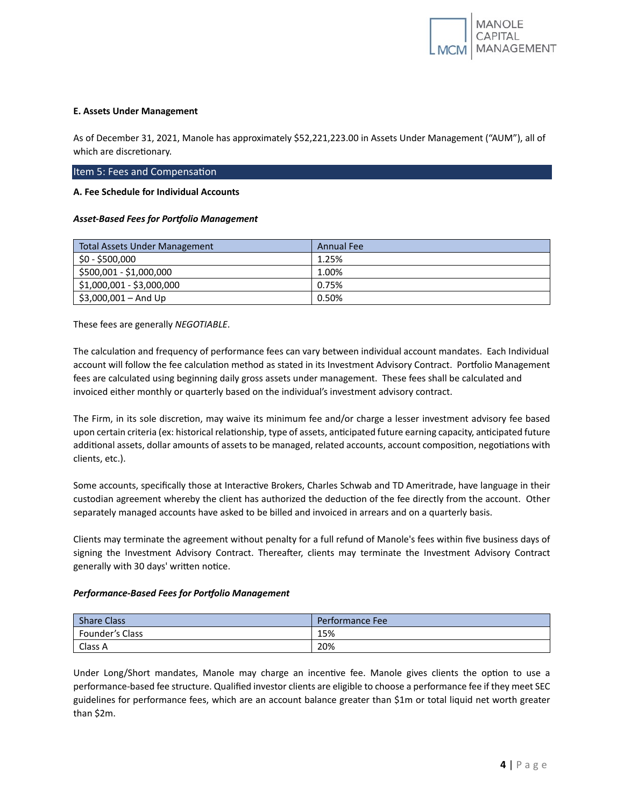#### <span id="page-6-0"></span>**E. Assets Under Management**

As of December 31, 2021, Manole has approximately \$52,221,223.00 in Assets Under Management ("AUM"), all of which are discretionary.

#### <span id="page-6-1"></span>Item 5: Fees and Compensation

# <span id="page-6-2"></span>**A. Fee Schedule for Individual Accounts**

#### *Asset-Based Fees for Portfolio Management*

| <b>Total Assets Under Management</b> | <b>Annual Fee</b> |
|--------------------------------------|-------------------|
| \$0 - \$500,000                      | 1.25%             |
| \$500,001 - \$1,000,000              | 1.00%             |
| \$1,000,001 - \$3,000,000            | 0.75%             |
| $$3,000,001 - And Up$                | 0.50%             |

These fees are generally *NEGOTIABLE*.

The calculation and frequency of performance fees can vary between individual account mandates. Each Individual account will follow the fee calculation method as stated in its Investment Advisory Contract. Portfolio Management fees are calculated using beginning daily gross assets under management. These fees shall be calculated and invoiced either monthly or quarterly based on the individual's investment advisory contract.

The Firm, in its sole discretion, may waive its minimum fee and/or charge a lesser investment advisory fee based upon certain criteria (ex: historical relationship, type of assets, anticipated future earning capacity, anticipated future additional assets, dollar amounts of assets to be managed, related accounts, account composition, negotiations with clients, etc.).

Some accounts, specifically those at Interactive Brokers, Charles Schwab and TD Ameritrade, have language in their custodian agreement whereby the client has authorized the deduction of the fee directly from the account. Other separately managed accounts have asked to be billed and invoiced in arrears and on a quarterly basis.

Clients may terminate the agreement without penalty for a full refund of Manole's fees within five business days of signing the Investment Advisory Contract. Thereafter, clients may terminate the Investment Advisory Contract generally with 30 days' written notice.

# *Performance-Based Fees for Portfolio Management*

| <b>Share Class</b> | Performance Fee |
|--------------------|-----------------|
| Founder's Class    | 15%             |
| Class A            | 20%             |

Under Long/Short mandates, Manole may charge an incentive fee. Manole gives clients the option to use a performance-based fee structure. Qualified investor clients are eligible to choose a performance fee if they meet SEC guidelines for performance fees, which are an account balance greater than \$1m or total liquid net worth greater than \$2m.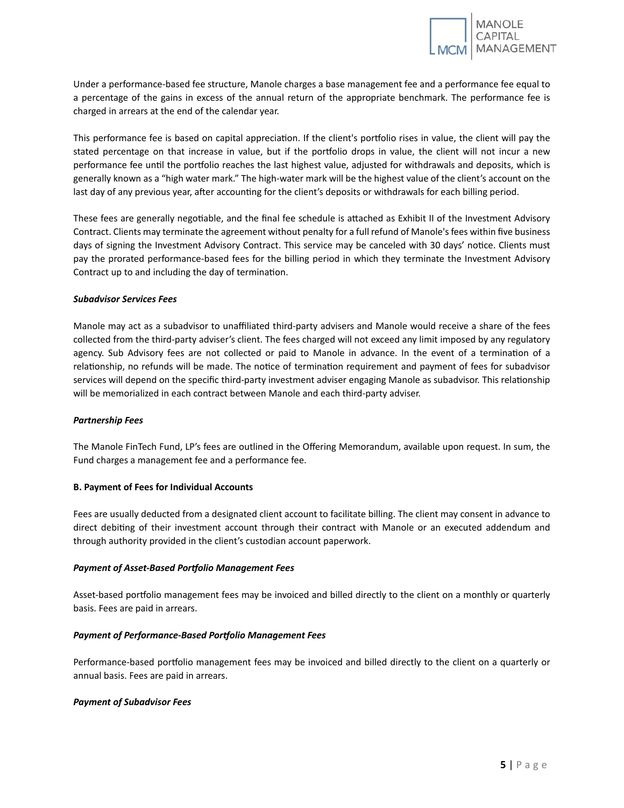Under a performance-based fee structure, Manole charges a base management fee and a performance fee equal to a percentage of the gains in excess of the annual return of the appropriate benchmark. The performance fee is charged in arrears at the end of the calendar year.

This performance fee is based on capital appreciation. If the client's portfolio rises in value, the client will pay the stated percentage on that increase in value, but if the portfolio drops in value, the client will not incur a new performance fee until the portfolio reaches the last highest value, adjusted for withdrawals and deposits, which is generally known as a "high water mark." The high-water mark will be the highest value of the client's account on the last day of any previous year, after accounting for the client's deposits or withdrawals for each billing period.

These fees are generally negotiable, and the final fee schedule is attached as Exhibit II of the Investment Advisory Contract. Clients may terminate the agreement without penalty for a full refund of Manole's fees within five business days of signing the Investment Advisory Contract. This service may be canceled with 30 days' notice. Clients must pay the prorated performance-based fees for the billing period in which they terminate the Investment Advisory Contract up to and including the day of termination.

# *Subadvisor Services Fees*

Manole may act as a subadvisor to unaffiliated third-party advisers and Manole would receive a share of the fees collected from the third-party adviser's client. The fees charged will not exceed any limit imposed by any regulatory agency. Sub Advisory fees are not collected or paid to Manole in advance. In the event of a termination of a relationship, no refunds will be made. The notice of termination requirement and payment of fees for subadvisor services will depend on the specific third-party investment adviser engaging Manole as subadvisor. This relationship will be memorialized in each contract between Manole and each third-party adviser.

# *Partnership Fees*

The Manole FinTech Fund, LP's fees are outlined in the Offering Memorandum, available upon request. In sum, the Fund charges a management fee and a performance fee.

# <span id="page-7-0"></span>**B. Payment of Fees for Individual Accounts**

Fees are usually deducted from a designated client account to facilitate billing. The client may consent in advance to direct debiting of their investment account through their contract with Manole or an executed addendum and through authority provided in the client's custodian account paperwork.

# *Payment of Asset-Based Portfolio Management Fees*

Asset-based portfolio management fees may be invoiced and billed directly to the client on a monthly or quarterly basis. Fees are paid in arrears.

# *Payment of Performance-Based Portfolio Management Fees*

Performance-based portfolio management fees may be invoiced and billed directly to the client on a quarterly or annual basis. Fees are paid in arrears.

# *Payment of Subadvisor Fees*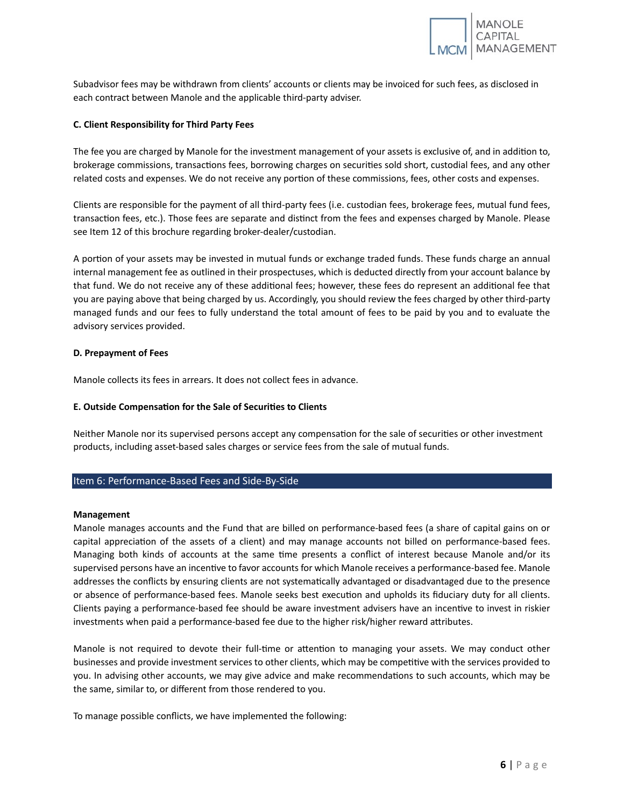

Subadvisor fees may be withdrawn from clients' accounts or clients may be invoiced for such fees, as disclosed in each contract between Manole and the applicable third-party adviser.

# <span id="page-8-0"></span>**C. Client Responsibility for Third Party Fees**

The fee you are charged by Manole for the investment management of your assets is exclusive of, and in addition to, brokerage commissions, transactions fees, borrowing charges on securities sold short, custodial fees, and any other related costs and expenses. We do not receive any portion of these commissions, fees, other costs and expenses.

Clients are responsible for the payment of all third-party fees (i.e. custodian fees, brokerage fees, mutual fund fees, transaction fees, etc.). Those fees are separate and distinct from the fees and expenses charged by Manole. Please see Item 12 of this brochure regarding broker-dealer/custodian.

A portion of your assets may be invested in mutual funds or exchange traded funds. These funds charge an annual internal management fee as outlined in their prospectuses, which is deducted directly from your account balance by that fund. We do not receive any of these additional fees; however, these fees do represent an additional fee that you are paying above that being charged by us. Accordingly, you should review the fees charged by other third-party managed funds and our fees to fully understand the total amount of fees to be paid by you and to evaluate the advisory services provided.

# <span id="page-8-1"></span>**D. Prepayment of Fees**

Manole collects its fees in arrears. It does not collect fees in advance.

# <span id="page-8-2"></span>**E. Outside Compensa�on for the Sale of Securi�es to Clients**

Neither Manole nor its supervised persons accept any compensation for the sale of securities or other investment products, including asset-based sales charges or service fees from the sale of mutual funds.

# <span id="page-8-3"></span>Item 6: Performance-Based Fees and Side-By-Side

#### **Management**

Manole manages accounts and the Fund that are billed on performance-based fees (a share of capital gains on or capital appreciation of the assets of a client) and may manage accounts not billed on performance-based fees. Managing both kinds of accounts at the same time presents a conflict of interest because Manole and/or its supervised persons have an incentive to favor accounts for which Manole receives a performance-based fee. Manole addresses the conflicts by ensuring clients are not systematically advantaged or disadvantaged due to the presence or absence of performance-based fees. Manole seeks best execution and upholds its fiduciary duty for all clients. Clients paying a performance-based fee should be aware investment advisers have an incentive to invest in riskier investments when paid a performance-based fee due to the higher risk/higher reward atributes.

Manole is not required to devote their full-time or attention to managing your assets. We may conduct other businesses and provide investment services to other clients, which may be competitive with the services provided to you. In advising other accounts, we may give advice and make recommendations to such accounts, which may be the same, similar to, or different from those rendered to you.

To manage possible conflicts, we have implemented the following: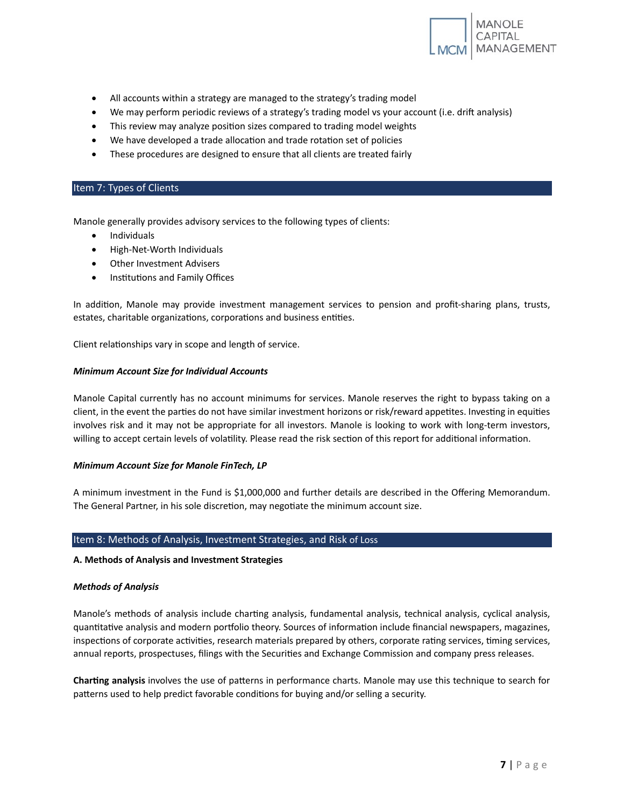

- All accounts within a strategy are managed to the strategy's trading model
- We may perform periodic reviews of a strategy's trading model vs your account (i.e. drift analysis)
- This review may analyze position sizes compared to trading model weights
- We have developed a trade allocation and trade rotation set of policies
- These procedures are designed to ensure that all clients are treated fairly

# <span id="page-9-0"></span>Item 7: Types of Clients

Manole generally provides advisory services to the following types of clients:

- Individuals
- High-Net-Worth Individuals
- Other Investment Advisers
- Institutions and Family Offices

In addition, Manole may provide investment management services to pension and profit-sharing plans, trusts, estates, charitable organizations, corporations and business entities.

Client relationships vary in scope and length of service.

# *Minimum Account Size for Individual Accounts*

Manole Capital currently has no account minimums for services. Manole reserves the right to bypass taking on a client, in the event the parties do not have similar investment horizons or risk/reward appetites. Investing in equities involves risk and it may not be appropriate for all investors. Manole is looking to work with long-term investors, willing to accept certain levels of volatility. Please read the risk section of this report for additional information.

# *Minimum Account Size for Manole FinTech, LP*

A minimum investment in the Fund is \$1,000,000 and further details are described in the Offering Memorandum. The General Partner, in his sole discretion, may negotiate the minimum account size.

# <span id="page-9-1"></span>Item 8: Methods of Analysis, Investment Strategies, and Risk of Loss

# <span id="page-9-2"></span>**A. Methods of Analysis and Investment Strategies**

# *Methods of Analysis*

Manole's methods of analysis include charting analysis, fundamental analysis, technical analysis, cyclical analysis, quantitative analysis and modern portfolio theory. Sources of information include financial newspapers, magazines, inspections of corporate activities, research materials prepared by others, corporate rating services, timing services, annual reports, prospectuses, filings with the Securities and Exchange Commission and company press releases.

**Char�ng analysis** involves the use of paterns in performance charts. Manole may use this technique to search for patterns used to help predict favorable conditions for buying and/or selling a security.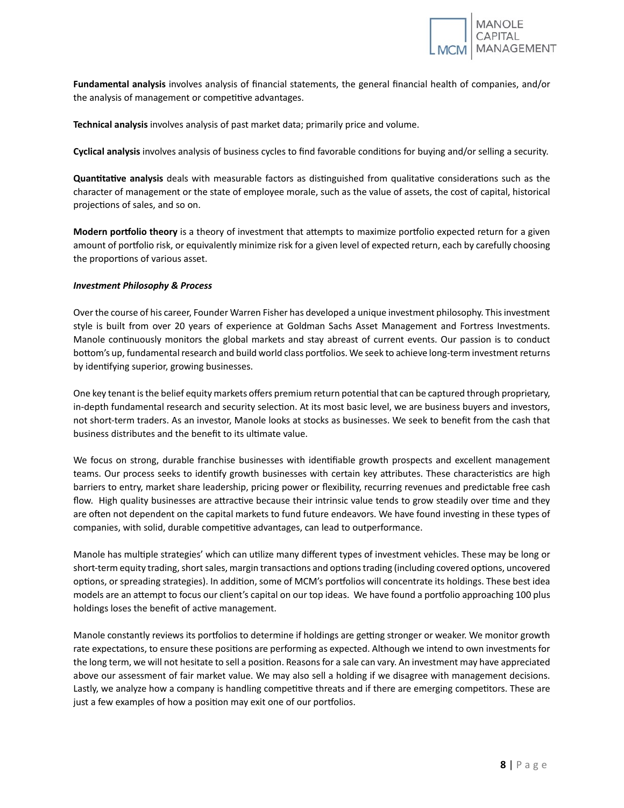

**Fundamental analysis** involves analysis of financial statements, the general financial health of companies, and/or the analysis of management or competitive advantages.

**Technical analysis** involves analysis of past market data; primarily price and volume.

**Cyclical analysis** involves analysis of business cycles to find favorable condi�ons for buying and/or selling a security.

**Quantitative analysis** deals with measurable factors as distinguished from qualitative considerations such as the character of management or the state of employee morale, such as the value of assets, the cost of capital, historical projections of sales, and so on.

**Modern portfolio theory** is a theory of investment that attempts to maximize portfolio expected return for a given amount of portfolio risk, or equivalently minimize risk for a given level of expected return, each by carefully choosing the proportions of various asset.

# *Investment Philosophy & Process*

Over the course of his career, Founder Warren Fisher has developed a unique investment philosophy. This investment style is built from over 20 years of experience at Goldman Sachs Asset Management and Fortress Investments. Manole continuously monitors the global markets and stay abreast of current events. Our passion is to conduct bottom's up, fundamental research and build world class portfolios. We seek to achieve long-term investment returns by identifying superior, growing businesses.

One key tenant is the belief equity markets offers premium return potential that can be captured through proprietary, in-depth fundamental research and security selection. At its most basic level, we are business buyers and investors, not short-term traders. As an investor, Manole looks at stocks as businesses. We seek to benefit from the cash that business distributes and the benefit to its ultimate value.

We focus on strong, durable franchise businesses with identifiable growth prospects and excellent management teams. Our process seeks to identify growth businesses with certain key attributes. These characteristics are high barriers to entry, market share leadership, pricing power or flexibility, recurring revenues and predictable free cash flow. High quality businesses are attractive because their intrinsic value tends to grow steadily over time and they are often not dependent on the capital markets to fund future endeavors. We have found investing in these types of companies, with solid, durable competitive advantages, can lead to outperformance.

Manole has multiple strategies' which can utilize many different types of investment vehicles. These may be long or short-term equity trading, short sales, margin transactions and options trading (including covered options, uncovered options, or spreading strategies). In addition, some of MCM's portfolios will concentrate its holdings. These best idea models are an attempt to focus our client's capital on our top ideas. We have found a portfolio approaching 100 plus holdings loses the benefit of active management.

Manole constantly reviews its portfolios to determine if holdings are getting stronger or weaker. We monitor growth rate expectations, to ensure these positions are performing as expected. Although we intend to own investments for the long term, we will not hesitate to sell a position. Reasons for a sale can vary. An investment may have appreciated above our assessment of fair market value. We may also sell a holding if we disagree with management decisions. Lastly, we analyze how a company is handling competitive threats and if there are emerging competitors. These are just a few examples of how a position may exit one of our portfolios.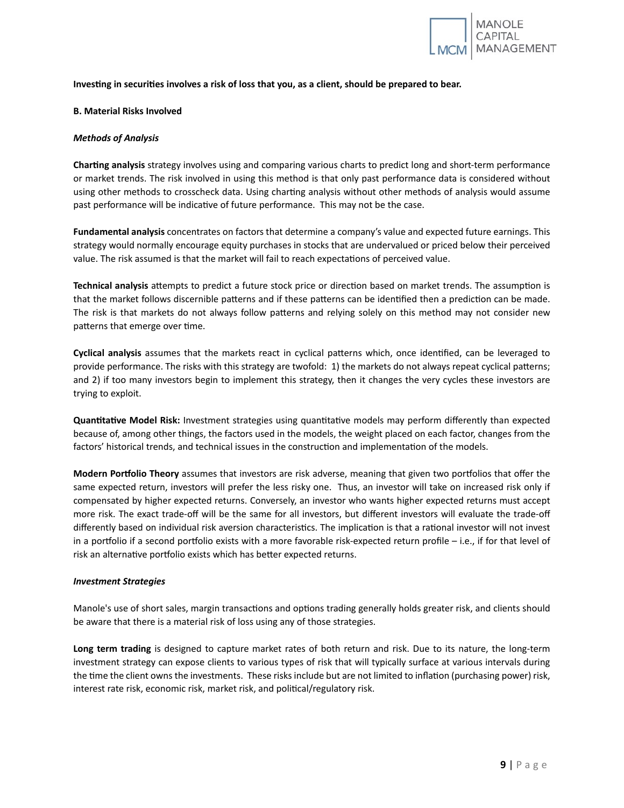

**Inves�ng in securi�es involves a risk of loss that you, as a client, should be prepared to bear.**

# <span id="page-11-0"></span>**B. Material Risks Involved**

# *Methods of Analysis*

**Char�ng analysis** strategy involves using and comparing various charts to predict long and short-term performance or market trends. The risk involved in using this method is that only past performance data is considered without using other methods to crosscheck data. Using charting analysis without other methods of analysis would assume past performance will be indicative of future performance. This may not be the case.

**Fundamental analysis** concentrates on factors that determine a company's value and expected future earnings. This strategy would normally encourage equity purchases in stocks that are undervalued or priced below their perceived value. The risk assumed is that the market will fail to reach expectations of perceived value.

Technical analysis attempts to predict a future stock price or direction based on market trends. The assumption is that the market follows discernible patterns and if these patterns can be identified then a prediction can be made. The risk is that markets do not always follow paterns and relying solely on this method may not consider new patterns that emerge over time.

**Cyclical analysis** assumes that the markets react in cyclical paterns which, once iden�fied, can be leveraged to provide performance. The risks with this strategy are twofold: 1) the markets do not always repeat cyclical paterns; and 2) if too many investors begin to implement this strategy, then it changes the very cycles these investors are trying to exploit.

**Quantitative Model Risk:** Investment strategies using quantitative models may perform differently than expected because of, among other things, the factors used in the models, the weight placed on each factor, changes from the factors' historical trends, and technical issues in the construction and implementation of the models.

**Modern Portfolio Theory** assumes that investors are risk adverse, meaning that given two portfolios that offer the same expected return, investors will prefer the less risky one. Thus, an investor will take on increased risk only if compensated by higher expected returns. Conversely, an investor who wants higher expected returns must accept more risk. The exact trade-off will be the same for all investors, but different investors will evaluate the trade-off differently based on individual risk aversion characteristics. The implication is that a rational investor will not invest in a portfolio if a second portfolio exists with a more favorable risk-expected return profile  $-$  i.e., if for that level of risk an alternative portfolio exists which has better expected returns.

# *Investment Strategies*

Manole's use of short sales, margin transactions and options trading generally holds greater risk, and clients should be aware that there is a material risk of loss using any of those strategies.

**Long term trading** is designed to capture market rates of both return and risk. Due to its nature, the long-term investment strategy can expose clients to various types of risk that will typically surface at various intervals during the time the client owns the investments. These risks include but are not limited to inflation (purchasing power) risk, interest rate risk, economic risk, market risk, and political/regulatory risk.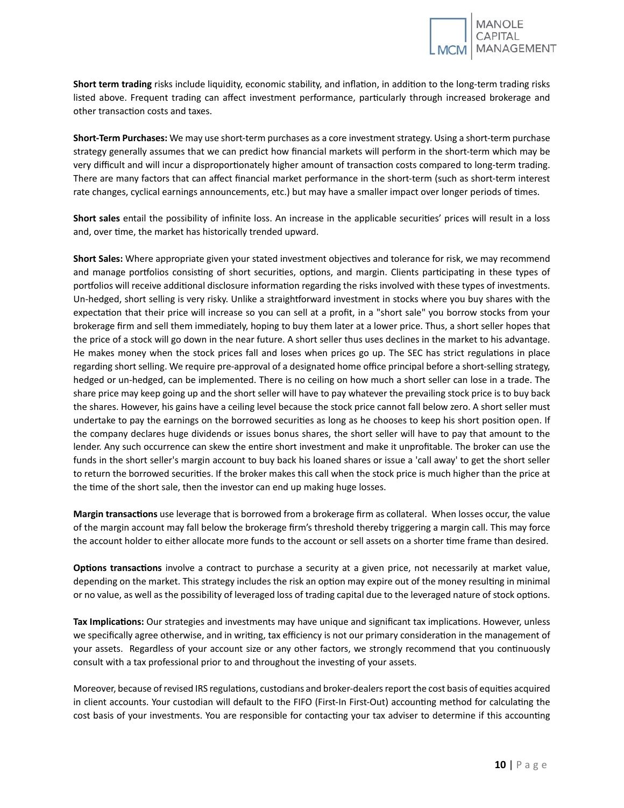Short term trading risks include liquidity, economic stability, and inflation, in addition to the long-term trading risks listed above. Frequent trading can affect investment performance, par�cularly through increased brokerage and other transaction costs and taxes.

**Short-Term Purchases:** We may use short-term purchases as a core investment strategy. Using a short-term purchase strategy generally assumes that we can predict how financial markets will perform in the short-term which may be very difficult and will incur a disproportionately higher amount of transaction costs compared to long-term trading. There are many factors that can affect financial market performance in the short-term (such as short-term interest rate changes, cyclical earnings announcements, etc.) but may have a smaller impact over longer periods of times.

Short sales entail the possibility of infinite loss. An increase in the applicable securities' prices will result in a loss and, over time, the market has historically trended upward.

**Short Sales:** Where appropriate given your stated investment objectives and tolerance for risk, we may recommend and manage portfolios consisting of short securities, options, and margin. Clients participating in these types of portfolios will receive additional disclosure information regarding the risks involved with these types of investments. Un-hedged, short selling is very risky. Unlike a straightforward investment in stocks where you buy shares with the expectation that their price will increase so you can sell at a profit, in a "short sale" you borrow stocks from your brokerage firm and sell them immediately, hoping to buy them later at a lower price. Thus, a short seller hopes that the price of a stock will go down in the near future. A short seller thus uses declines in the market to his advantage. He makes money when the stock prices fall and loses when prices go up. The SEC has strict regulations in place regarding short selling. We require pre-approval of a designated home office principal before a short-selling strategy, hedged or un-hedged, can be implemented. There is no ceiling on how much a short seller can lose in a trade. The share price may keep going up and the short seller will have to pay whatever the prevailing stock price is to buy back the shares. However, his gains have a ceiling level because the stock price cannot fall below zero. A short seller must undertake to pay the earnings on the borrowed securities as long as he chooses to keep his short position open. If the company declares huge dividends or issues bonus shares, the short seller will have to pay that amount to the lender. Any such occurrence can skew the entire short investment and make it unprofitable. The broker can use the funds in the short seller's margin account to buy back his loaned shares or issue a 'call away' to get the short seller to return the borrowed securities. If the broker makes this call when the stock price is much higher than the price at the time of the short sale, then the investor can end up making huge losses.

**Margin transac�ons** use leverage that is borrowed from a brokerage firm as collateral. When losses occur, the value of the margin account may fall below the brokerage firm's threshold thereby triggering a margin call. This may force the account holder to either allocate more funds to the account or sell assets on a shorter time frame than desired.

**Options transactions** involve a contract to purchase a security at a given price, not necessarily at market value, depending on the market. This strategy includes the risk an option may expire out of the money resulting in minimal or no value, as well as the possibility of leveraged loss of trading capital due to the leveraged nature of stock options.

Tax Implications: Our strategies and investments may have unique and significant tax implications. However, unless we specifically agree otherwise, and in writing, tax efficiency is not our primary consideration in the management of your assets. Regardless of your account size or any other factors, we strongly recommend that you continuously consult with a tax professional prior to and throughout the investing of your assets.

Moreover, because of revised IRS regulations, custodians and broker-dealers report the cost basis of equities acquired in client accounts. Your custodian will default to the FIFO (First-In First-Out) accounting method for calculating the cost basis of your investments. You are responsible for contacting your tax adviser to determine if this accounting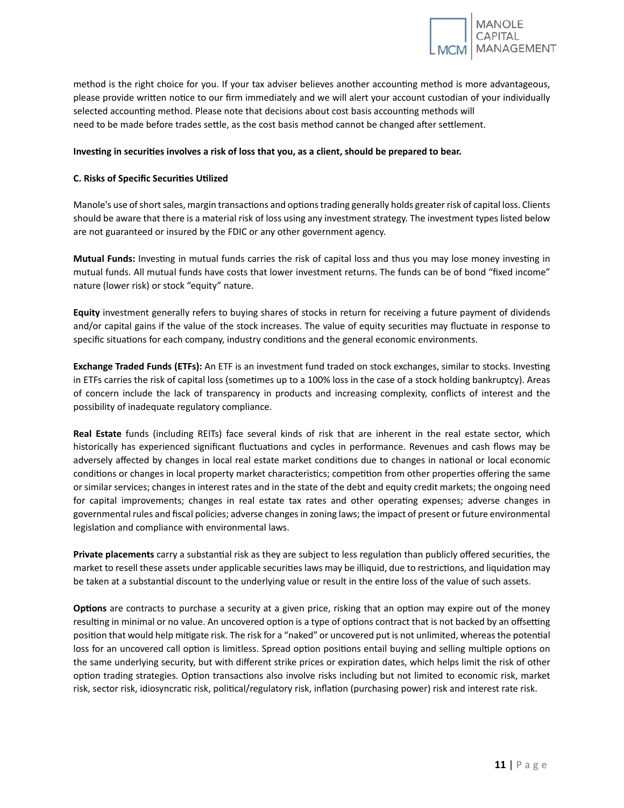

method is the right choice for you. If your tax adviser believes another accounting method is more advantageous, please provide written notice to our firm immediately and we will alert your account custodian of your individually selected accounting method. Please note that decisions about cost basis accounting methods will need to be made before trades settle, as the cost basis method cannot be changed after settlement.

# **Inves�ng in securi�es involves a risk of loss that you, as a client, should be prepared to bear.**

# <span id="page-13-0"></span>**C. Risks of Specific Securi�es U�lized**

Manole's use of short sales, margin transactions and options trading generally holds greater risk of capital loss. Clients should be aware that there is a material risk of loss using any investment strategy. The investment types listed below are not guaranteed or insured by the FDIC or any other government agency.

**Mutual Funds:** Investing in mutual funds carries the risk of capital loss and thus you may lose money investing in mutual funds. All mutual funds have costs that lower investment returns. The funds can be of bond "fixed income" nature (lower risk) or stock "equity" nature.

**Equity** investment generally refers to buying shares of stocks in return for receiving a future payment of dividends and/or capital gains if the value of the stock increases. The value of equity securities may fluctuate in response to specific situations for each company, industry conditions and the general economic environments.

**Exchange Traded Funds (ETFs):** An ETF is an investment fund traded on stock exchanges, similar to stocks. Investing in ETFs carries the risk of capital loss (sometimes up to a 100% loss in the case of a stock holding bankruptcy). Areas of concern include the lack of transparency in products and increasing complexity, conflicts of interest and the possibility of inadequate regulatory compliance.

**Real Estate** funds (including REITs) face several kinds of risk that are inherent in the real estate sector, which historically has experienced significant fluctuations and cycles in performance. Revenues and cash flows may be adversely affected by changes in local real estate market conditions due to changes in national or local economic conditions or changes in local property market characteristics; competition from other properties offering the same or similar services; changes in interest rates and in the state of the debt and equity credit markets; the ongoing need for capital improvements; changes in real estate tax rates and other operating expenses; adverse changes in governmental rules and fiscal policies; adverse changes in zoning laws; the impact of present or future environmental legislation and compliance with environmental laws.

**Private placements** carry a substantial risk as they are subject to less regulation than publicly offered securities, the market to resell these assets under applicable securities laws may be illiquid, due to restrictions, and liquidation may be taken at a substantial discount to the underlying value or result in the entire loss of the value of such assets.

**Options** are contracts to purchase a security at a given price, risking that an option may expire out of the money resulting in minimal or no value. An uncovered option is a type of options contract that is not backed by an offsetting position that would help mitigate risk. The risk for a "naked" or uncovered put is not unlimited, whereas the potential loss for an uncovered call option is limitless. Spread option positions entail buying and selling multiple options on the same underlying security, but with different strike prices or expiration dates, which helps limit the risk of other option trading strategies. Option transactions also involve risks including but not limited to economic risk, market risk, sector risk, idiosyncratic risk, political/regulatory risk, inflation (purchasing power) risk and interest rate risk.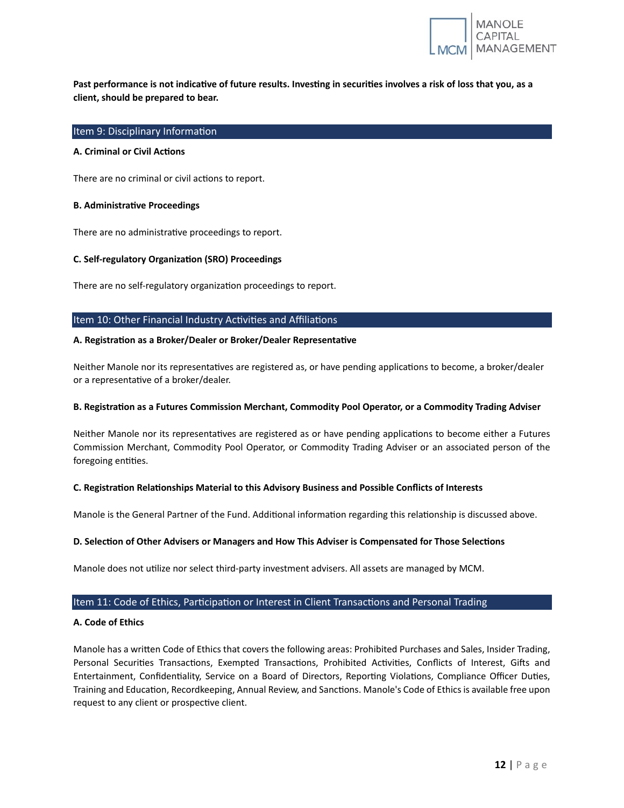

Past performance is not indicative of future results. Investing in securities involves a risk of loss that you, as a **client, should be prepared to bear.**

# <span id="page-14-0"></span>Item 9: Disciplinary Information

# <span id="page-14-1"></span>**A.** Criminal or Civil Actions

There are no criminal or civil actions to report.

#### <span id="page-14-2"></span>**B. Administrative Proceedings**

There are no administrative proceedings to report.

#### <span id="page-14-3"></span>**C. Self-regulatory Organiza�on (SRO) Proceedings**

There are no self-regulatory organization proceedings to report.

#### <span id="page-14-4"></span>Item 10: Other Financial Industry Activities and Affiliations

### <span id="page-14-5"></span>**A. Registra�on as a Broker/Dealer or Broker/Dealer Representa�ve**

Neither Manole nor its representatives are registered as, or have pending applications to become, a broker/dealer or a representative of a broker/dealer.

# <span id="page-14-6"></span>**B. Registra�on as a Futures Commission Merchant, Commodity Pool Operator, or a Commodity Trading Adviser**

Neither Manole nor its representatives are registered as or have pending applications to become either a Futures Commission Merchant, Commodity Pool Operator, or Commodity Trading Adviser or an associated person of the foregoing entities.

# <span id="page-14-7"></span>**C. Registra�on Rela�onships Material to this Advisory Business and Possible Conflicts of Interests**

Manole is the General Partner of the Fund. Additional information regarding this relationship is discussed above.

# <span id="page-14-8"></span>**D. Selec�on of Other Advisers or Managers and How This Adviser is Compensated for Those Selec�ons**

Manole does not utilize nor select third-party investment advisers. All assets are managed by MCM.

# <span id="page-14-9"></span>Item 11: Code of Ethics, Participation or Interest in Client Transactions and Personal Trading

# <span id="page-14-10"></span>**A. Code of Ethics**

Manole has a writen Code of Ethics that covers the following areas: Prohibited Purchases and Sales, Insider Trading, Personal Securities Transactions, Exempted Transactions, Prohibited Activities, Conflicts of Interest, Gifts and Entertainment, Confidentiality, Service on a Board of Directors, Reporting Violations, Compliance Officer Duties, Training and Education, Recordkeeping, Annual Review, and Sanctions. Manole's Code of Ethics is available free upon request to any client or prospective client.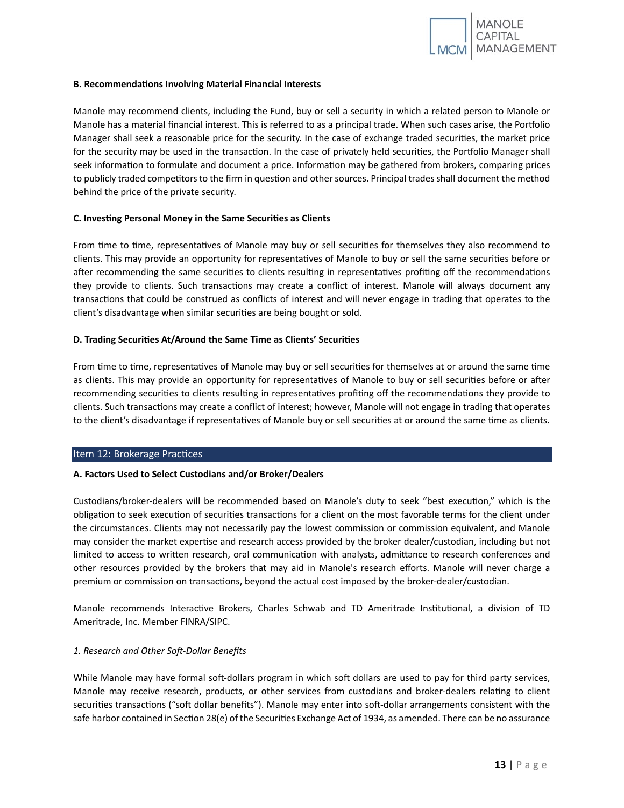

#### <span id="page-15-0"></span>**B. Recommendations Involving Material Financial Interests**

Manole may recommend clients, including the Fund, buy or sell a security in which a related person to Manole or Manole has a material financial interest. This is referred to as a principal trade. When such cases arise, the Portfolio Manager shall seek a reasonable price for the security. In the case of exchange traded securities, the market price for the security may be used in the transaction. In the case of privately held securities, the Portfolio Manager shall seek information to formulate and document a price. Information may be gathered from brokers, comparing prices to publicly traded competitors to the firm in question and other sources. Principal trades shall document the method behind the price of the private security.

# <span id="page-15-1"></span>**C. Investing Personal Money in the Same Securities as Clients**

From time to time, representatives of Manole may buy or sell securities for themselves they also recommend to clients. This may provide an opportunity for representatives of Manole to buy or sell the same securities before or after recommending the same securities to clients resulting in representatives profiting off the recommendations they provide to clients. Such transactions may create a conflict of interest. Manole will always document any transac�ons that could be construed as conflicts of interest and will never engage in trading that operates to the client's disadvantage when similar securities are being bought or sold.

# <span id="page-15-2"></span>**D. Trading Securi�es At/Around the Same Time as Clients' Securi�es**

From time to time, representatives of Manole may buy or sell securities for themselves at or around the same time as clients. This may provide an opportunity for representatives of Manole to buy or sell securities before or after recommending securities to clients resulting in representatives profiting off the recommendations they provide to clients. Such transac�ons may create a conflict of interest; however, Manole will not engage in trading that operates to the client's disadvantage if representatives of Manole buy or sell securities at or around the same time as clients.

#### <span id="page-15-3"></span>Item 12: Brokerage Practices

# <span id="page-15-4"></span>**A. Factors Used to Select Custodians and/or Broker/Dealers**

Custodians/broker-dealers will be recommended based on Manole's duty to seek "best execu�on," which is the obligation to seek execution of securities transactions for a client on the most favorable terms for the client under the circumstances. Clients may not necessarily pay the lowest commission or commission equivalent, and Manole may consider the market expertise and research access provided by the broker dealer/custodian, including but not limited to access to written research, oral communication with analysts, admittance to research conferences and other resources provided by the brokers that may aid in Manole's research efforts. Manole will never charge a premium or commission on transactions, beyond the actual cost imposed by the broker-dealer/custodian.

Manole recommends Interactive Brokers, Charles Schwab and TD Ameritrade Institutional, a division of TD Ameritrade, Inc. Member FINRA/SIPC.

# <span id="page-15-5"></span>*1. Research and Other Soft-Dollar Benefits*

While Manole may have formal soft-dollars program in which soft dollars are used to pay for third party services, Manole may receive research, products, or other services from custodians and broker-dealers relating to client securities transactions ("soft dollar benefits"). Manole may enter into soft-dollar arrangements consistent with the safe harbor contained in Section 28(e) of the Securities Exchange Act of 1934, as amended. There can be no assurance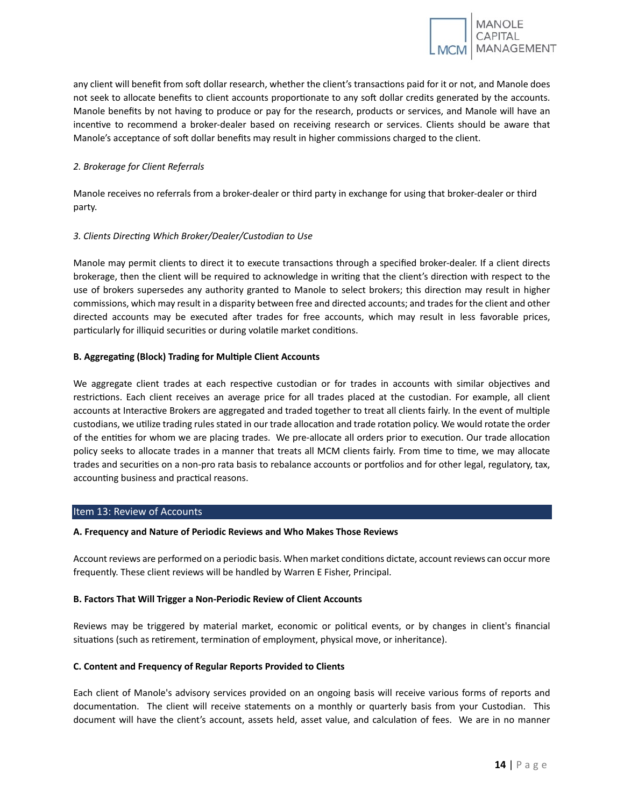any client will benefit from soft dollar research, whether the client's transactions paid for it or not, and Manole does not seek to allocate benefits to client accounts proportionate to any soft dollar credits generated by the accounts. Manole benefits by not having to produce or pay for the research, products or services, and Manole will have an incentive to recommend a broker-dealer based on receiving research or services. Clients should be aware that Manole's acceptance of soft dollar benefits may result in higher commissions charged to the client.

# <span id="page-16-0"></span>*2. Brokerage for Client Referrals*

Manole receives no referrals from a broker-dealer or third party in exchange for using that broker-dealer or third party.

# <span id="page-16-1"></span>*3. Clients Directing Which Broker/Dealer/Custodian to Use*

Manole may permit clients to direct it to execute transactions through a specified broker-dealer. If a client directs brokerage, then the client will be required to acknowledge in writing that the client's direction with respect to the use of brokers supersedes any authority granted to Manole to select brokers; this direction may result in higher commissions, which may result in a disparity between free and directed accounts; and trades for the client and other directed accounts may be executed after trades for free accounts, which may result in less favorable prices, particularly for illiquid securities or during volatile market conditions.

# <span id="page-16-2"></span>**B. Aggregating (Block) Trading for Multiple Client Accounts**

We aggregate client trades at each respective custodian or for trades in accounts with similar objectives and restrictions. Each client receives an average price for all trades placed at the custodian. For example, all client accounts at Interactive Brokers are aggregated and traded together to treat all clients fairly. In the event of multiple custodians, we utilize trading rules stated in our trade allocation and trade rotation policy. We would rotate the order of the entities for whom we are placing trades. We pre-allocate all orders prior to execution. Our trade allocation policy seeks to allocate trades in a manner that treats all MCM clients fairly. From time to time, we may allocate trades and securities on a non-pro rata basis to rebalance accounts or portfolios and for other legal, regulatory, tax, accounting business and practical reasons.

# <span id="page-16-3"></span>Item 13: Review of Accounts

# <span id="page-16-4"></span>**A. Frequency and Nature of Periodic Reviews and Who Makes Those Reviews**

Account reviews are performed on a periodic basis. When market conditions dictate, account reviews can occur more frequently. These client reviews will be handled by Warren E Fisher, Principal.

# <span id="page-16-5"></span>**B. Factors That Will Trigger a Non-Periodic Review of Client Accounts**

Reviews may be triggered by material market, economic or political events, or by changes in client's financial situations (such as retirement, termination of employment, physical move, or inheritance).

# <span id="page-16-6"></span>**C. Content and Frequency of Regular Reports Provided to Clients**

Each client of Manole's advisory services provided on an ongoing basis will receive various forms of reports and documentation. The client will receive statements on a monthly or quarterly basis from your Custodian. This document will have the client's account, assets held, asset value, and calculation of fees. We are in no manner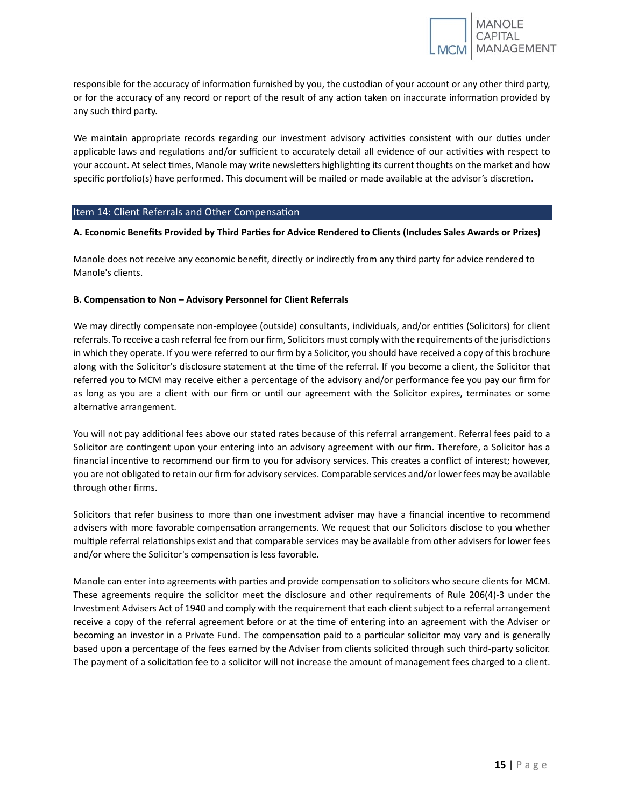responsible for the accuracy of information furnished by you, the custodian of your account or any other third party, or for the accuracy of any record or report of the result of any action taken on inaccurate information provided by any such third party.

We maintain appropriate records regarding our investment advisory activities consistent with our duties under applicable laws and regulations and/or sufficient to accurately detail all evidence of our activities with respect to your account. At select times, Manole may write newsletters highlighting its current thoughts on the market and how specific portfolio(s) have performed. This document will be mailed or made available at the advisor's discretion.

# <span id="page-17-0"></span>Item 14: Client Referrals and Other Compensation

# <span id="page-17-1"></span>**A. Economic Benefits Provided by Third Par�es for Advice Rendered to Clients (Includes Sales Awards or Prizes)**

Manole does not receive any economic benefit, directly or indirectly from any third party for advice rendered to Manole's clients.

# <span id="page-17-2"></span>**B. Compensa�on to Non – Advisory Personnel for Client Referrals**

We may directly compensate non-employee (outside) consultants, individuals, and/or entities (Solicitors) for client referrals. To receive a cash referral fee from our firm, Solicitors must comply with the requirements of the jurisdictions in which they operate. If you were referred to our firm by a Solicitor, you should have received a copy of this brochure along with the Solicitor's disclosure statement at the time of the referral. If you become a client, the Solicitor that referred you to MCM may receive either a percentage of the advisory and/or performance fee you pay our firm for as long as you are a client with our firm or until our agreement with the Solicitor expires, terminates or some alternative arrangement.

You will not pay additional fees above our stated rates because of this referral arrangement. Referral fees paid to a Solicitor are contingent upon your entering into an advisory agreement with our firm. Therefore, a Solicitor has a financial incentive to recommend our firm to you for advisory services. This creates a conflict of interest; however, you are not obligated to retain our firm for advisory services. Comparable services and/or lower fees may be available through other firms.

Solicitors that refer business to more than one investment adviser may have a financial incentive to recommend advisers with more favorable compensation arrangements. We request that our Solicitors disclose to you whether multiple referral relationships exist and that comparable services may be available from other advisers for lower fees and/or where the Solicitor's compensation is less favorable.

Manole can enter into agreements with parties and provide compensation to solicitors who secure clients for MCM. These agreements require the solicitor meet the disclosure and other requirements of Rule 206(4)-3 under the Investment Advisers Act of 1940 and comply with the requirement that each client subject to a referral arrangement receive a copy of the referral agreement before or at the time of entering into an agreement with the Adviser or becoming an investor in a Private Fund. The compensation paid to a particular solicitor may vary and is generally based upon a percentage of the fees earned by the Adviser from clients solicited through such third-party solicitor. The payment of a solicitation fee to a solicitor will not increase the amount of management fees charged to a client.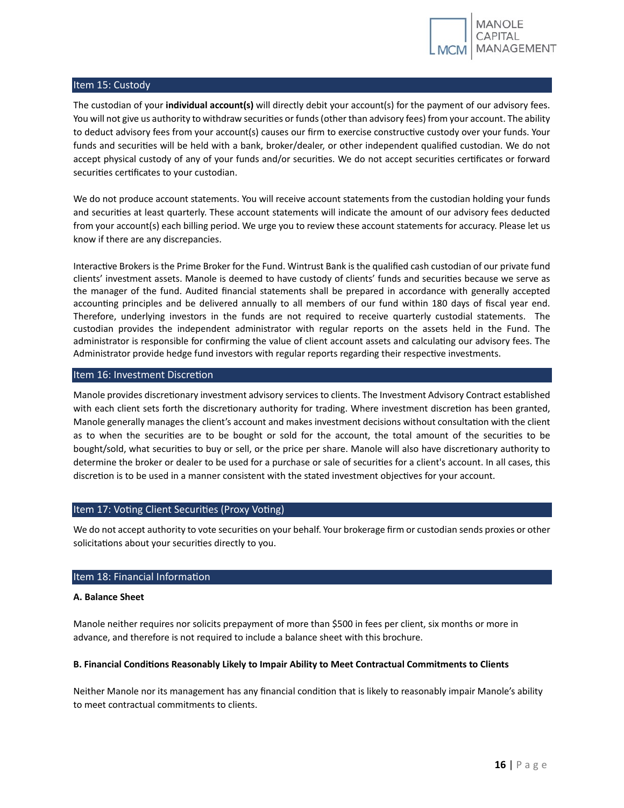

# <span id="page-18-0"></span>Item 15: Custody

The custodian of your **individual account(s)** will directly debit your account(s) for the payment of our advisory fees. You will not give us authority to withdraw securities or funds (other than advisory fees) from your account. The ability to deduct advisory fees from your account(s) causes our firm to exercise constructive custody over your funds. Your funds and securities will be held with a bank, broker/dealer, or other independent qualified custodian. We do not accept physical custody of any of your funds and/or securities. We do not accept securities certificates or forward securities certificates to your custodian.

We do not produce account statements. You will receive account statements from the custodian holding your funds and securities at least quarterly. These account statements will indicate the amount of our advisory fees deducted from your account(s) each billing period. We urge you to review these account statements for accuracy. Please let us know if there are any discrepancies.

Interactive Brokers is the Prime Broker for the Fund. Wintrust Bank is the qualified cash custodian of our private fund clients' investment assets. Manole is deemed to have custody of clients' funds and securi�es because we serve as the manager of the fund. Audited financial statements shall be prepared in accordance with generally accepted accounting principles and be delivered annually to all members of our fund within 180 days of fiscal year end. Therefore, underlying investors in the funds are not required to receive quarterly custodial statements. The custodian provides the independent administrator with regular reports on the assets held in the Fund. The administrator is responsible for confirming the value of client account assets and calculating our advisory fees. The Administrator provide hedge fund investors with regular reports regarding their respective investments.

# <span id="page-18-1"></span>Item 16: Investment Discretion

Manole provides discretionary investment advisory services to clients. The Investment Advisory Contract established with each client sets forth the discretionary authority for trading. Where investment discretion has been granted, Manole generally manages the client's account and makes investment decisions without consultation with the client as to when the securities are to be bought or sold for the account, the total amount of the securities to be bought/sold, what securities to buy or sell, or the price per share. Manole will also have discretionary authority to determine the broker or dealer to be used for a purchase or sale of securities for a client's account. In all cases, this discretion is to be used in a manner consistent with the stated investment objectives for your account.

# <span id="page-18-2"></span>Item 17: Voting Client Securities (Proxy Voting)

We do not accept authority to vote securities on your behalf. Your brokerage firm or custodian sends proxies or other solicitations about your securities directly to you.

# <span id="page-18-3"></span>Item 18: Financial Information

# <span id="page-18-4"></span>**A. Balance Sheet**

Manole neither requires nor solicits prepayment of more than \$500 in fees per client, six months or more in advance, and therefore is not required to include a balance sheet with this brochure.

# <span id="page-18-5"></span>**B. Financial Condi�ons Reasonably Likely to Impair Ability to Meet Contractual Commitments to Clients**

Neither Manole nor its management has any financial condition that is likely to reasonably impair Manole's ability to meet contractual commitments to clients.